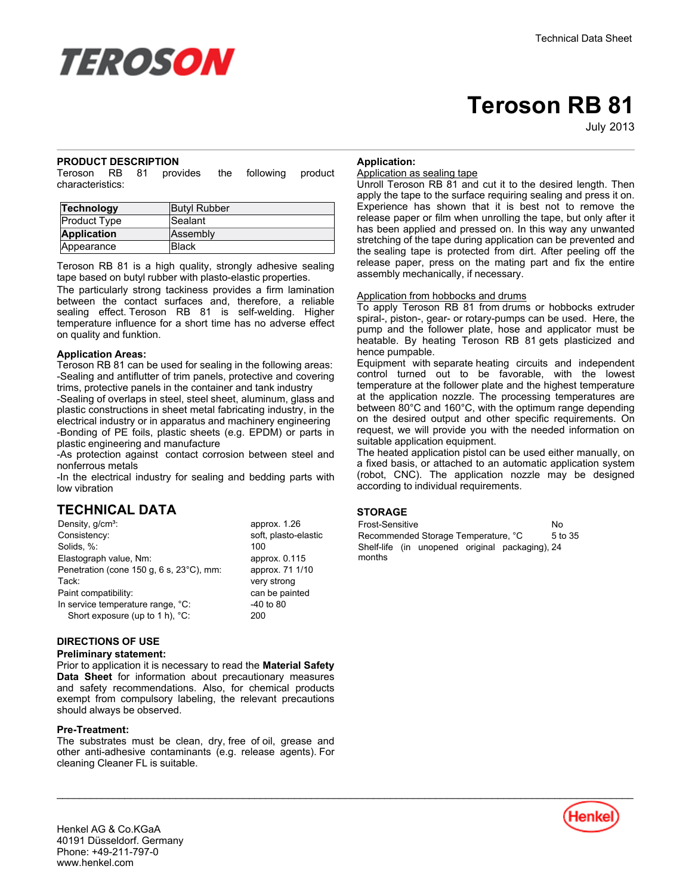

# **Teroson RB 81**

July-2013

#### **PRODUCT DESCRIPTION**

Teroson RB 81 provides the following product characteristics:

| Technology         | <b>Butyl Rubber</b> |
|--------------------|---------------------|
| Product Type       | Sealant             |
| <b>Application</b> | Assembly            |
| Appearance         | Black               |

Teroson RB 81 is a high quality, strongly adhesive sealing tape based on butyl rubber with plasto-elastic properties.

The particularly strong tackiness provides a firm lamination between the contact surfaces and, therefore, a reliable sealing effect. Teroson RB 81 is self-welding. Higher temperature influence for a short time has no adverse effect on quality and funktion.

#### **Application Areas:**

Teroson RB 81 can be used for sealing in the following areas: -Sealing and antiflutter of trim panels, protective and covering trims, protective panels in the container and tank industry

-Sealing of overlaps in steel, steel sheet, aluminum, glass and plastic constructions in sheet metal fabricating industry, in the electrical industry or in apparatus and machinery engineering -Bonding of PE foils, plastic sheets (e.g. EPDM) or parts in plastic engineering and manufacture

-As protection against contact corrosion between steel and nonferrous metals

-In the electrical industry for sealing and bedding parts with low vibration

# **TECHNICAL DATA**

| Density, g/cm <sup>3</sup> :             | approx. 1.26         |
|------------------------------------------|----------------------|
| Consistency:                             | soft, plasto-elastic |
| Solids, %:                               | 100                  |
| Elastograph value, Nm:                   | approx. 0.115        |
| Penetration (cone 150 g, 6 s, 23°C), mm: | approx. 71 1/10      |
| Tack:                                    | very strong          |
| Paint compatibility:                     | can be painted       |
| In service temperature range, °C:        | $-40$ to 80          |
| Short exposure (up to 1 h), °C:          | 200                  |
|                                          |                      |

#### **DIRECTIONS OF USE**

#### **Preliminary statement:**

Prior to application it is necessary to read the **Material Safety Data Sheet** for information about precautionary measures and safety recommendations. Also, for chemical products exempt from compulsory labeling, the relevant precautions should always be observed.

#### **Pre-Treatment:**

The substrates must be clean, dry, free of oil, grease and other anti-adhesive contaminants (e.g. release agents). For cleaning Cleaner FL is suitable.

#### **Application:**

#### Application as sealing tape

Unroll Teroson RB 81 and cut it to the desired length. Then apply the tape to the surface requiring sealing and press it on. Experience has shown that it is best not to remove the release paper or film when unrolling the tape, but only after it has been applied and pressed on. In this way any unwanted stretching of the tape during application can be prevented and the sealing tape is protected from dirt. After peeling off the release paper, press on the mating part and fix the entire assembly mechanically, if necessary.

#### Application from hobbocks and drums

To apply Teroson RB 81 from drums or hobbocks extruder spiral-, piston-, gear- or rotary-pumps can be used. Here, the pump and the follower plate, hose and applicator must be heatable. By heating Teroson RB 81 gets plasticized and hence pumpable.

Equipment with separate heating circuits and independent control turned out to be favorable, with the lowest temperature at the follower plate and the highest temperature at the application nozzle. The processing temperatures are between 80°C and 160°C, with the optimum range depending on the desired output and other specific requirements. On request, we will provide you with the needed information on suitable application equipment.

The heated application pistol can be used either manually, on a fixed basis, or attached to an automatic application system (robot, CNC). The application nozzle may be designed according to individual requirements.

### **STORAGE**

 $\mathcal{L}_\mathcal{L} = \mathcal{L}_\mathcal{L} = \mathcal{L}_\mathcal{L} = \mathcal{L}_\mathcal{L} = \mathcal{L}_\mathcal{L} = \mathcal{L}_\mathcal{L} = \mathcal{L}_\mathcal{L} = \mathcal{L}_\mathcal{L} = \mathcal{L}_\mathcal{L} = \mathcal{L}_\mathcal{L} = \mathcal{L}_\mathcal{L} = \mathcal{L}_\mathcal{L} = \mathcal{L}_\mathcal{L} = \mathcal{L}_\mathcal{L} = \mathcal{L}_\mathcal{L} = \mathcal{L}_\mathcal{L} = \mathcal{L}_\mathcal{L}$ 

Frost-Sensitive No Recommended Storage Temperature, °C 5 to 35 Shelf-life (in unopened original packaging), 24 months



Henkel AG & Co.KGaA 40191 Düsseldorf. Germany Phone: +49-211-797-0 www.henkel.com